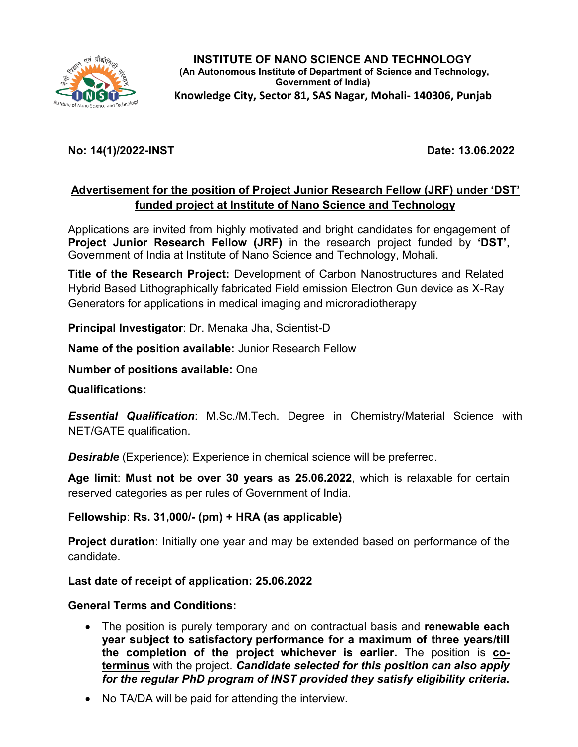

## **No: 14(1)/2022-INST Date: 13.06.2022**

## **Advertisement for the position of Project Junior Research Fellow (JRF) under 'DST' funded project at Institute of Nano Science and Technology**

Applications are invited from highly motivated and bright candidates for engagement of **Project Junior Research Fellow (JRF)** in the research project funded by **'DST'**, Government of India at Institute of Nano Science and Technology, Mohali.

**Title of the Research Project:** Development of Carbon Nanostructures and Related Hybrid Based Lithographically fabricated Field emission Electron Gun device as X-Ray Generators for applications in medical imaging and microradiotherapy

**Principal Investigator**: Dr. Menaka Jha, Scientist-D

**Name of the position available:** Junior Research Fellow

**Number of positions available:** One

**Qualifications:** 

*Essential Qualification*: M.Sc./M.Tech. Degree in Chemistry/Material Science with NET/GATE qualification.

*Desirable* (Experience): Experience in chemical science will be preferred.

**Age limit**: **Must not be over 30 years as 25.06.2022**, which is relaxable for certain reserved categories as per rules of Government of India.

**Fellowship**: **Rs. 31,000/- (pm) + HRA (as applicable)** 

**Project duration**: Initially one year and may be extended based on performance of the candidate.

**Last date of receipt of application: 25.06.2022**

**General Terms and Conditions:** 

- The position is purely temporary and on contractual basis and **renewable each year subject to satisfactory performance for a maximum of three years/till the completion of the project whichever is earlier.** The position is **coterminus** with the project. *Candidate selected for this position can also apply for the regular PhD program of INST provided they satisfy eligibility criteria***.**
- No TA/DA will be paid for attending the interview.